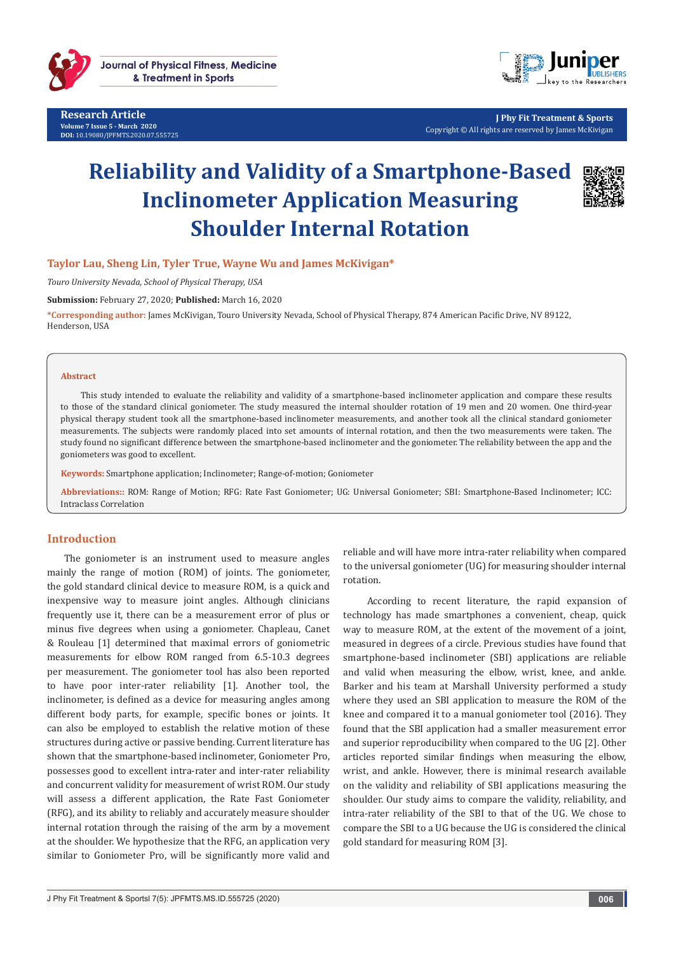

**Research Article Volume 7 Issue 5 - March 2020 DOI:** [10.19080/JPFMTS.2020.07.555725](http://dx.doi.org/10.19080/JPFMTS.2020.07.555725)



**J Phy Fit Treatment & Sports** Copyright © All rights are reserved by James McKivigan

# **Reliability and Validity of a Smartphone-Based Inclinometer Application Measuring Shoulder Internal Rotation**



**Taylor Lau, Sheng Lin, Tyler True, Wayne Wu and James McKivigan\***

*Touro University Nevada, School of Physical Therapy, USA*

**Submission:** February 27, 2020; **Published:** March 16, 2020

**\*Corresponding author:** James McKivigan, Touro University Nevada, School of Physical Therapy, 874 American Pacific Drive, NV 89122, Henderson, USA

#### **Abstract**

This study intended to evaluate the reliability and validity of a smartphone-based inclinometer application and compare these results to those of the standard clinical goniometer. The study measured the internal shoulder rotation of 19 men and 20 women. One third-year physical therapy student took all the smartphone-based inclinometer measurements, and another took all the clinical standard goniometer measurements. The subjects were randomly placed into set amounts of internal rotation, and then the two measurements were taken. The study found no significant difference between the smartphone-based inclinometer and the goniometer. The reliability between the app and the goniometers was good to excellent.

**Keywords:** Smartphone application; Inclinometer; Range-of-motion; Goniometer

**Abbreviations::** ROM: Range of Motion; RFG: Rate Fast Goniometer; UG: Universal Goniometer; SBI: Smartphone-Based Inclinometer; ICC: Intraclass Correlation

## **Introduction**

The goniometer is an instrument used to measure angles mainly the range of motion (ROM) of joints. The goniometer, the gold standard clinical device to measure ROM, is a quick and inexpensive way to measure joint angles. Although clinicians frequently use it, there can be a measurement error of plus or minus five degrees when using a goniometer. Chapleau, Canet & Rouleau [1] determined that maximal errors of goniometric measurements for elbow ROM ranged from 6.5-10.3 degrees per measurement. The goniometer tool has also been reported to have poor inter-rater reliability [1]. Another tool, the inclinometer, is defined as a device for measuring angles among different body parts, for example, specific bones or joints. It can also be employed to establish the relative motion of these structures during active or passive bending. Current literature has shown that the smartphone-based inclinometer, Goniometer Pro, possesses good to excellent intra-rater and inter-rater reliability and concurrent validity for measurement of wrist ROM. Our study will assess a different application, the Rate Fast Goniometer (RFG), and its ability to reliably and accurately measure shoulder internal rotation through the raising of the arm by a movement at the shoulder. We hypothesize that the RFG, an application very similar to Goniometer Pro, will be significantly more valid and

reliable and will have more intra-rater reliability when compared to the universal goniometer (UG) for measuring shoulder internal rotation.

 According to recent literature, the rapid expansion of technology has made smartphones a convenient, cheap, quick way to measure ROM, at the extent of the movement of a joint, measured in degrees of a circle. Previous studies have found that smartphone-based inclinometer (SBI) applications are reliable and valid when measuring the elbow, wrist, knee, and ankle. Barker and his team at Marshall University performed a study where they used an SBI application to measure the ROM of the knee and compared it to a manual goniometer tool (2016). They found that the SBI application had a smaller measurement error and superior reproducibility when compared to the UG [2]. Other articles reported similar findings when measuring the elbow, wrist, and ankle. However, there is minimal research available on the validity and reliability of SBI applications measuring the shoulder. Our study aims to compare the validity, reliability, and intra-rater reliability of the SBI to that of the UG. We chose to compare the SBI to a UG because the UG is considered the clinical gold standard for measuring ROM [3].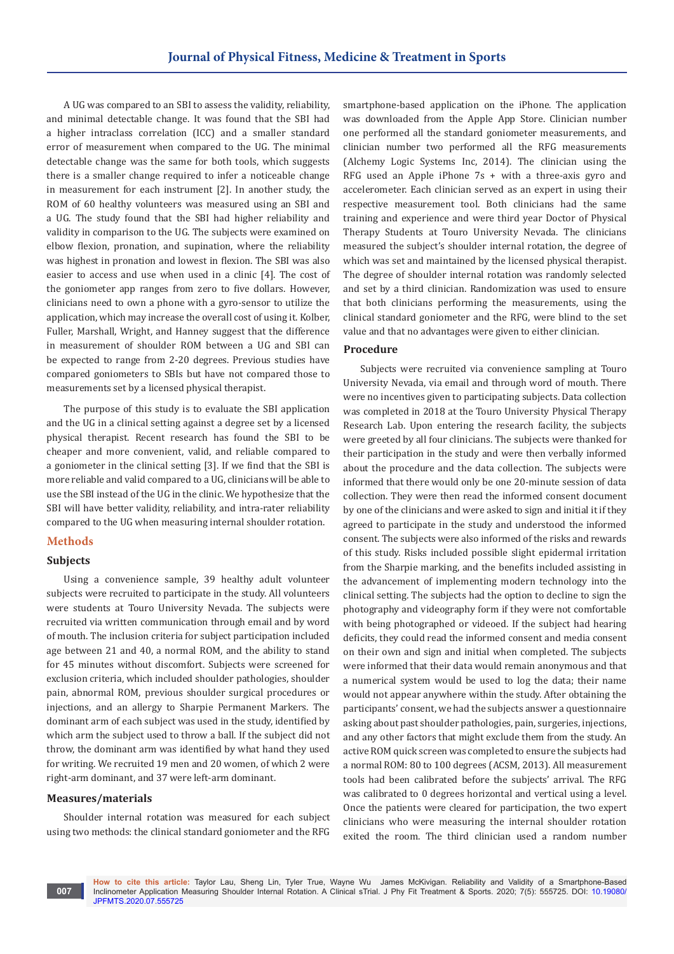A UG was compared to an SBI to assess the validity, reliability, and minimal detectable change. It was found that the SBI had a higher intraclass correlation (ICC) and a smaller standard error of measurement when compared to the UG. The minimal detectable change was the same for both tools, which suggests there is a smaller change required to infer a noticeable change in measurement for each instrument [2]. In another study, the ROM of 60 healthy volunteers was measured using an SBI and a UG. The study found that the SBI had higher reliability and validity in comparison to the UG. The subjects were examined on elbow flexion, pronation, and supination, where the reliability was highest in pronation and lowest in flexion. The SBI was also easier to access and use when used in a clinic [4]. The cost of the goniometer app ranges from zero to five dollars. However, clinicians need to own a phone with a gyro-sensor to utilize the application, which may increase the overall cost of using it. Kolber, Fuller, Marshall, Wright, and Hanney suggest that the difference in measurement of shoulder ROM between a UG and SBI can be expected to range from 2-20 degrees. Previous studies have compared goniometers to SBIs but have not compared those to measurements set by a licensed physical therapist.

The purpose of this study is to evaluate the SBI application and the UG in a clinical setting against a degree set by a licensed physical therapist. Recent research has found the SBI to be cheaper and more convenient, valid, and reliable compared to a goniometer in the clinical setting [3]. If we find that the SBI is more reliable and valid compared to a UG, clinicians will be able to use the SBI instead of the UG in the clinic. We hypothesize that the SBI will have better validity, reliability, and intra-rater reliability compared to the UG when measuring internal shoulder rotation.

# **Methods**

## **Subjects**

Using a convenience sample, 39 healthy adult volunteer subjects were recruited to participate in the study. All volunteers were students at Touro University Nevada. The subjects were recruited via written communication through email and by word of mouth. The inclusion criteria for subject participation included age between 21 and 40, a normal ROM, and the ability to stand for 45 minutes without discomfort. Subjects were screened for exclusion criteria, which included shoulder pathologies, shoulder pain, abnormal ROM, previous shoulder surgical procedures or injections, and an allergy to Sharpie Permanent Markers. The dominant arm of each subject was used in the study, identified by which arm the subject used to throw a ball. If the subject did not throw, the dominant arm was identified by what hand they used for writing. We recruited 19 men and 20 women, of which 2 were right-arm dominant, and 37 were left-arm dominant.

## **Measures/materials**

**007**

Shoulder internal rotation was measured for each subject using two methods: the clinical standard goniometer and the RFG

smartphone-based application on the iPhone. The application was downloaded from the Apple App Store. Clinician number one performed all the standard goniometer measurements, and clinician number two performed all the RFG measurements (Alchemy Logic Systems Inc, 2014). The clinician using the RFG used an Apple iPhone 7s + with a three-axis gyro and accelerometer. Each clinician served as an expert in using their respective measurement tool. Both clinicians had the same training and experience and were third year Doctor of Physical Therapy Students at Touro University Nevada. The clinicians measured the subject's shoulder internal rotation, the degree of which was set and maintained by the licensed physical therapist. The degree of shoulder internal rotation was randomly selected and set by a third clinician. Randomization was used to ensure that both clinicians performing the measurements, using the clinical standard goniometer and the RFG, were blind to the set value and that no advantages were given to either clinician.

## **Procedure**

Subjects were recruited via convenience sampling at Touro University Nevada, via email and through word of mouth. There were no incentives given to participating subjects. Data collection was completed in 2018 at the Touro University Physical Therapy Research Lab. Upon entering the research facility, the subjects were greeted by all four clinicians. The subjects were thanked for their participation in the study and were then verbally informed about the procedure and the data collection. The subjects were informed that there would only be one 20-minute session of data collection. They were then read the informed consent document by one of the clinicians and were asked to sign and initial it if they agreed to participate in the study and understood the informed consent. The subjects were also informed of the risks and rewards of this study. Risks included possible slight epidermal irritation from the Sharpie marking, and the benefits included assisting in the advancement of implementing modern technology into the clinical setting. The subjects had the option to decline to sign the photography and videography form if they were not comfortable with being photographed or videoed. If the subject had hearing deficits, they could read the informed consent and media consent on their own and sign and initial when completed. The subjects were informed that their data would remain anonymous and that a numerical system would be used to log the data; their name would not appear anywhere within the study. After obtaining the participants' consent, we had the subjects answer a questionnaire asking about past shoulder pathologies, pain, surgeries, injections, and any other factors that might exclude them from the study. An active ROM quick screen was completed to ensure the subjects had a normal ROM: 80 to 100 degrees (ACSM, 2013). All measurement tools had been calibrated before the subjects' arrival. The RFG was calibrated to 0 degrees horizontal and vertical using a level. Once the patients were cleared for participation, the two expert clinicians who were measuring the internal shoulder rotation exited the room. The third clinician used a random number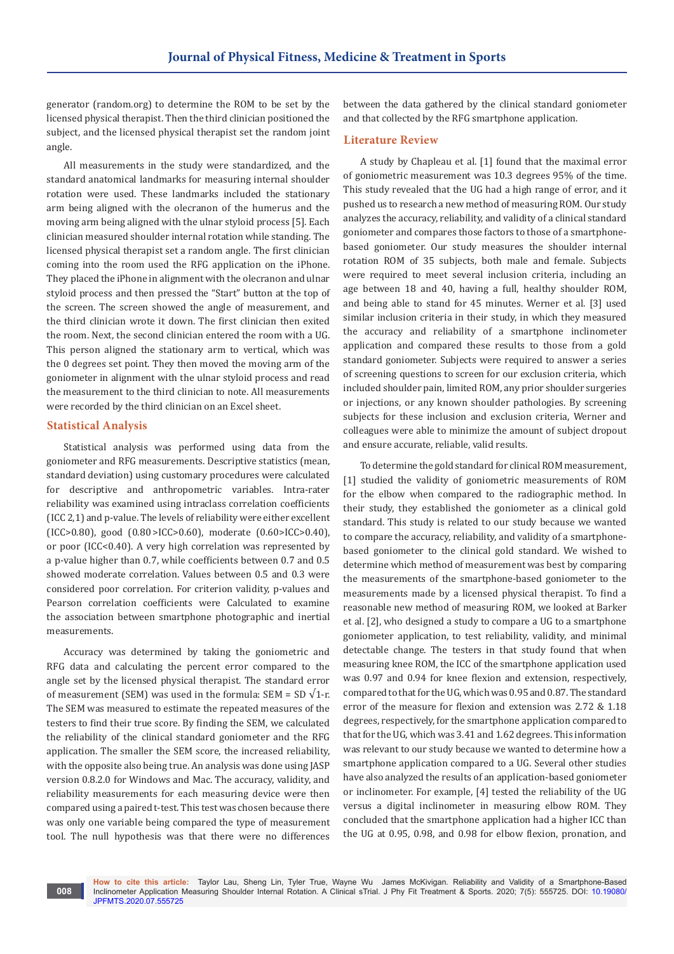generator (random.org) to determine the ROM to be set by the licensed physical therapist. Then the third clinician positioned the subject, and the licensed physical therapist set the random joint angle.

All measurements in the study were standardized, and the standard anatomical landmarks for measuring internal shoulder rotation were used. These landmarks included the stationary arm being aligned with the olecranon of the humerus and the moving arm being aligned with the ulnar styloid process [5]. Each clinician measured shoulder internal rotation while standing. The licensed physical therapist set a random angle. The first clinician coming into the room used the RFG application on the iPhone. They placed the iPhone in alignment with the olecranon and ulnar styloid process and then pressed the "Start" button at the top of the screen. The screen showed the angle of measurement, and the third clinician wrote it down. The first clinician then exited the room. Next, the second clinician entered the room with a UG. This person aligned the stationary arm to vertical, which was the 0 degrees set point. They then moved the moving arm of the goniometer in alignment with the ulnar styloid process and read the measurement to the third clinician to note. All measurements were recorded by the third clinician on an Excel sheet.

## **Statistical Analysis**

**008**

Statistical analysis was performed using data from the goniometer and RFG measurements. Descriptive statistics (mean, standard deviation) using customary procedures were calculated for descriptive and anthropometric variables. Intra-rater reliability was examined using intraclass correlation coefficients (ICC 2,1) and p-value. The levels of reliability were either excellent (ICC>0.80), good (0.80 >ICC>0.60), moderate (0.60>ICC>0.40), or poor (ICC<0.40). A very high correlation was represented by a p-value higher than 0.7, while coefficients between 0.7 and 0.5 showed moderate correlation. Values between 0.5 and 0.3 were considered poor correlation. For criterion validity, p-values and Pearson correlation coefficients were Calculated to examine the association between smartphone photographic and inertial measurements.

Accuracy was determined by taking the goniometric and RFG data and calculating the percent error compared to the angle set by the licensed physical therapist. The standard error of measurement (SEM) was used in the formula: SEM = SD  $\sqrt{1-r}$ . The SEM was measured to estimate the repeated measures of the testers to find their true score. By finding the SEM, we calculated the reliability of the clinical standard goniometer and the RFG application. The smaller the SEM score, the increased reliability, with the opposite also being true. An analysis was done using JASP version 0.8.2.0 for Windows and Mac. The accuracy, validity, and reliability measurements for each measuring device were then compared using a paired t-test. This test was chosen because there was only one variable being compared the type of measurement tool. The null hypothesis was that there were no differences

between the data gathered by the clinical standard goniometer and that collected by the RFG smartphone application.

#### **Literature Review**

A study by Chapleau et al. [1] found that the maximal error of goniometric measurement was 10.3 degrees 95% of the time. This study revealed that the UG had a high range of error, and it pushed us to research a new method of measuring ROM. Our study analyzes the accuracy, reliability, and validity of a clinical standard goniometer and compares those factors to those of a smartphonebased goniometer. Our study measures the shoulder internal rotation ROM of 35 subjects, both male and female. Subjects were required to meet several inclusion criteria, including an age between 18 and 40, having a full, healthy shoulder ROM, and being able to stand for 45 minutes. Werner et al. [3] used similar inclusion criteria in their study, in which they measured the accuracy and reliability of a smartphone inclinometer application and compared these results to those from a gold standard goniometer. Subjects were required to answer a series of screening questions to screen for our exclusion criteria, which included shoulder pain, limited ROM, any prior shoulder surgeries or injections, or any known shoulder pathologies. By screening subjects for these inclusion and exclusion criteria, Werner and colleagues were able to minimize the amount of subject dropout and ensure accurate, reliable, valid results.

To determine the gold standard for clinical ROM measurement, [1] studied the validity of goniometric measurements of ROM for the elbow when compared to the radiographic method. In their study, they established the goniometer as a clinical gold standard. This study is related to our study because we wanted to compare the accuracy, reliability, and validity of a smartphonebased goniometer to the clinical gold standard. We wished to determine which method of measurement was best by comparing the measurements of the smartphone-based goniometer to the measurements made by a licensed physical therapist. To find a reasonable new method of measuring ROM, we looked at Barker et al. [2], who designed a study to compare a UG to a smartphone goniometer application, to test reliability, validity, and minimal detectable change. The testers in that study found that when measuring knee ROM, the ICC of the smartphone application used was 0.97 and 0.94 for knee flexion and extension, respectively, compared to that for the UG, which was 0.95 and 0.87. The standard error of the measure for flexion and extension was 2.72 & 1.18 degrees, respectively, for the smartphone application compared to that for the UG, which was 3.41 and 1.62 degrees. This information was relevant to our study because we wanted to determine how a smartphone application compared to a UG. Several other studies have also analyzed the results of an application-based goniometer or inclinometer. For example, [4] tested the reliability of the UG versus a digital inclinometer in measuring elbow ROM. They concluded that the smartphone application had a higher ICC than the UG at 0.95, 0.98, and 0.98 for elbow flexion, pronation, and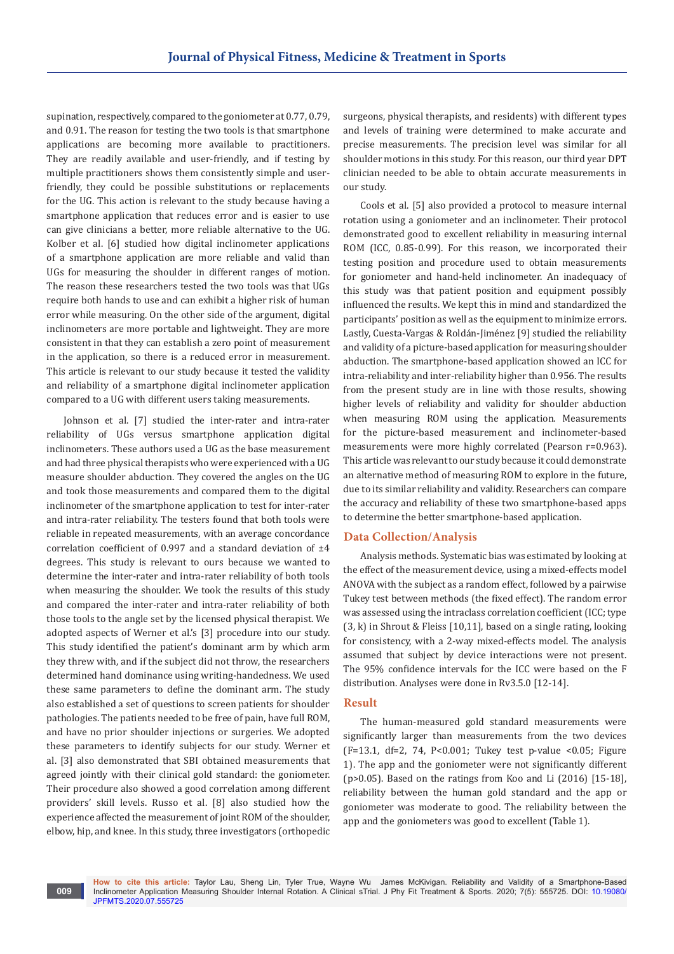supination, respectively, compared to the goniometer at 0.77, 0.79, and 0.91. The reason for testing the two tools is that smartphone applications are becoming more available to practitioners. They are readily available and user-friendly, and if testing by multiple practitioners shows them consistently simple and userfriendly, they could be possible substitutions or replacements for the UG. This action is relevant to the study because having a smartphone application that reduces error and is easier to use can give clinicians a better, more reliable alternative to the UG. Kolber et al. [6] studied how digital inclinometer applications of a smartphone application are more reliable and valid than UGs for measuring the shoulder in different ranges of motion. The reason these researchers tested the two tools was that UGs require both hands to use and can exhibit a higher risk of human error while measuring. On the other side of the argument, digital inclinometers are more portable and lightweight. They are more consistent in that they can establish a zero point of measurement in the application, so there is a reduced error in measurement. This article is relevant to our study because it tested the validity and reliability of a smartphone digital inclinometer application compared to a UG with different users taking measurements.

Johnson et al. [7] studied the inter-rater and intra-rater reliability of UGs versus smartphone application digital inclinometers. These authors used a UG as the base measurement and had three physical therapists who were experienced with a UG measure shoulder abduction. They covered the angles on the UG and took those measurements and compared them to the digital inclinometer of the smartphone application to test for inter-rater and intra-rater reliability. The testers found that both tools were reliable in repeated measurements, with an average concordance correlation coefficient of 0.997 and a standard deviation of ±4 degrees. This study is relevant to ours because we wanted to determine the inter-rater and intra-rater reliability of both tools when measuring the shoulder. We took the results of this study and compared the inter-rater and intra-rater reliability of both those tools to the angle set by the licensed physical therapist. We adopted aspects of Werner et al.'s [3] procedure into our study. This study identified the patient's dominant arm by which arm they threw with, and if the subject did not throw, the researchers determined hand dominance using writing-handedness. We used these same parameters to define the dominant arm. The study also established a set of questions to screen patients for shoulder pathologies. The patients needed to be free of pain, have full ROM, and have no prior shoulder injections or surgeries. We adopted these parameters to identify subjects for our study. Werner et al. [3] also demonstrated that SBI obtained measurements that agreed jointly with their clinical gold standard: the goniometer. Their procedure also showed a good correlation among different providers' skill levels. Russo et al. [8] also studied how the experience affected the measurement of joint ROM of the shoulder, elbow, hip, and knee. In this study, three investigators (orthopedic

surgeons, physical therapists, and residents) with different types and levels of training were determined to make accurate and precise measurements. The precision level was similar for all shoulder motions in this study. For this reason, our third year DPT clinician needed to be able to obtain accurate measurements in our study.

Cools et al. [5] also provided a protocol to measure internal rotation using a goniometer and an inclinometer. Their protocol demonstrated good to excellent reliability in measuring internal ROM (ICC, 0.85-0.99). For this reason, we incorporated their testing position and procedure used to obtain measurements for goniometer and hand-held inclinometer. An inadequacy of this study was that patient position and equipment possibly influenced the results. We kept this in mind and standardized the participants' position as well as the equipment to minimize errors. Lastly, Cuesta-Vargas & Roldán-Jiménez [9] studied the reliability and validity of a picture-based application for measuring shoulder abduction. The smartphone-based application showed an ICC for intra-reliability and inter-reliability higher than 0.956. The results from the present study are in line with those results, showing higher levels of reliability and validity for shoulder abduction when measuring ROM using the application. Measurements for the picture-based measurement and inclinometer-based measurements were more highly correlated (Pearson r=0.963). This article was relevant to our study because it could demonstrate an alternative method of measuring ROM to explore in the future, due to its similar reliability and validity. Researchers can compare the accuracy and reliability of these two smartphone-based apps to determine the better smartphone-based application.

## **Data Collection/Analysis**

Analysis methods. Systematic bias was estimated by looking at the effect of the measurement device, using a mixed-effects model ANOVA with the subject as a random effect, followed by a pairwise Tukey test between methods (the fixed effect). The random error was assessed using the intraclass correlation coefficient (ICC; type (3, k) in Shrout & Fleiss [10,11], based on a single rating, looking for consistency, with a 2-way mixed-effects model. The analysis assumed that subject by device interactions were not present. The 95% confidence intervals for the ICC were based on the F distribution. Analyses were done in Rv3.5.0 [12-14].

#### **Result**

The human-measured gold standard measurements were significantly larger than measurements from the two devices (F=13.1, df=2, 74, P<0.001; Tukey test p-value <0.05; Figure 1). The app and the goniometer were not significantly different (p>0.05). Based on the ratings from Koo and Li (2016) [15-18], reliability between the human gold standard and the app or goniometer was moderate to good. The reliability between the app and the goniometers was good to excellent (Table 1).

**How to cite this article:** Taylor Lau, Sheng Lin, Tyler True, Wayne Wu James McKivigan. Reliability and Validity of a Smartphone-Based Inclinometer Application Measuring Shoulder Internal Rotation. A Clinical sTrial. J Phy Fit Treatment & Sports. 2020; 7(5): 555725. DOI: [10.19080/](http://dx.doi.org/10.19080/JPFMTS.2020.07.555725) [JPFMTS.2020.07.555725](http://dx.doi.org/10.19080/JPFMTS.2020.07.555725)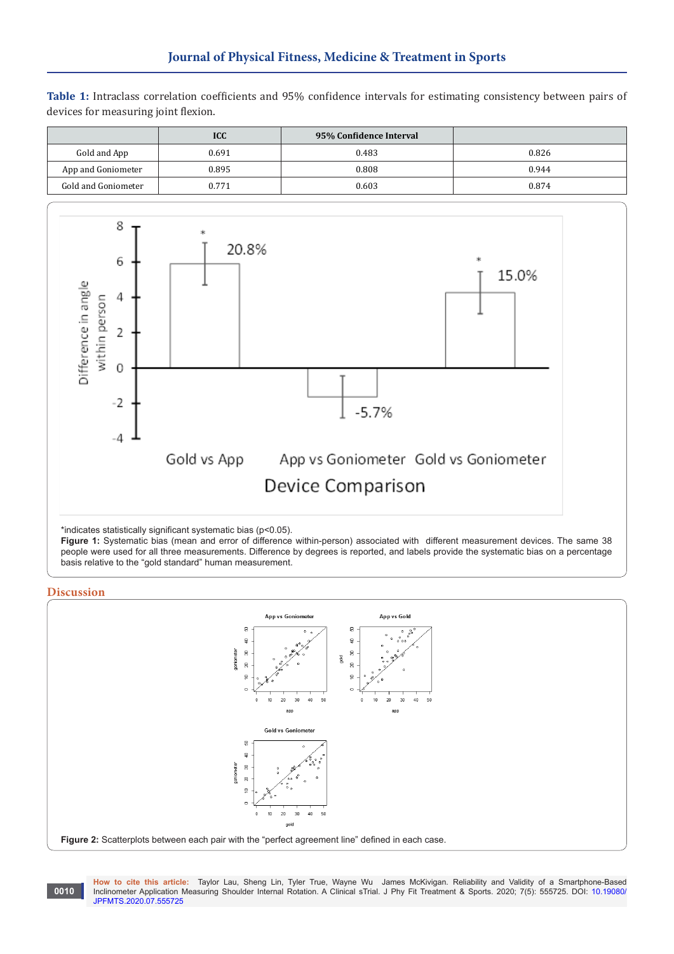**Table 1:** Intraclass correlation coefficients and 95% confidence intervals for estimating consistency between pairs of devices for measuring joint flexion.

|                     | <b>ICC</b> | 95% Confidence Interval |       |
|---------------------|------------|-------------------------|-------|
| Gold and App        | 0.691      | 0.483                   | 0.826 |
| App and Goniometer  | 0.895      | 0.808                   | 0.944 |
| Gold and Goniometer | 0.771      | 0.603                   | 0.874 |



\*indicates statistically significant systematic bias (p<0.05).

**Figure 1:** Systematic bias (mean and error of difference within-person) associated with different measurement devices. The same 38 people were used for all three measurements. Difference by degrees is reported, and labels provide the systematic bias on a percentage basis relative to the "gold standard" human measurement.

# **Discussion**



**How to cite this article:** Taylor Lau, Sheng Lin, Tyler True, Wayne Wu James McKivigan. Reliability and Validity of a Smartphone-Based Inclinometer Application Measuring Shoulder Internal Rotation. A Clinical sTrial. J Phy Fit Treatment & Sports. 2020; 7(5): 555725. DOI: [10.19080/](http://dx.doi.org/10.19080/JPFMTS.2020.07.555725) [JPFMTS.2020.07.555725](http://dx.doi.org/10.19080/JPFMTS.2020.07.555725) **0010**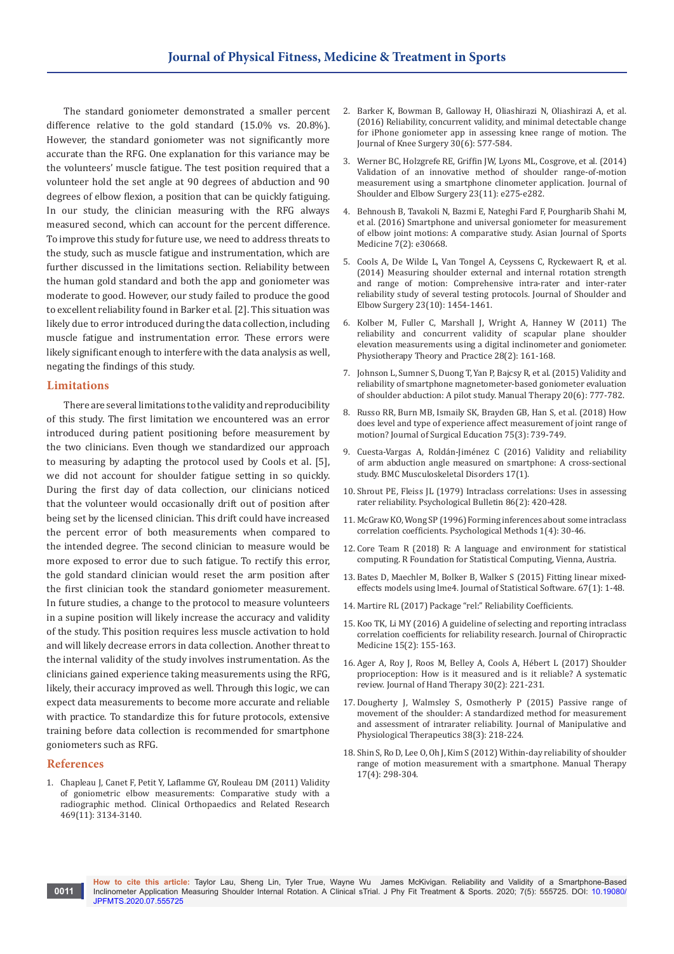The standard goniometer demonstrated a smaller percent difference relative to the gold standard (15.0% vs. 20.8%). However, the standard goniometer was not significantly more accurate than the RFG. One explanation for this variance may be the volunteers' muscle fatigue. The test position required that a volunteer hold the set angle at 90 degrees of abduction and 90 degrees of elbow flexion, a position that can be quickly fatiguing. In our study, the clinician measuring with the RFG always measured second, which can account for the percent difference. To improve this study for future use, we need to address threats to the study, such as muscle fatigue and instrumentation, which are further discussed in the limitations section. Reliability between the human gold standard and both the app and goniometer was moderate to good. However, our study failed to produce the good to excellent reliability found in Barker et al. [2]. This situation was likely due to error introduced during the data collection, including muscle fatigue and instrumentation error. These errors were likely significant enough to interfere with the data analysis as well, negating the findings of this study.

#### **Limitations**

There are several limitations to the validity and reproducibility of this study. The first limitation we encountered was an error introduced during patient positioning before measurement by the two clinicians. Even though we standardized our approach to measuring by adapting the protocol used by Cools et al. [5], we did not account for shoulder fatigue setting in so quickly. During the first day of data collection, our clinicians noticed that the volunteer would occasionally drift out of position after being set by the licensed clinician. This drift could have increased the percent error of both measurements when compared to the intended degree. The second clinician to measure would be more exposed to error due to such fatigue. To rectify this error, the gold standard clinician would reset the arm position after the first clinician took the standard goniometer measurement. In future studies, a change to the protocol to measure volunteers in a supine position will likely increase the accuracy and validity of the study. This position requires less muscle activation to hold and will likely decrease errors in data collection. Another threat to the internal validity of the study involves instrumentation. As the clinicians gained experience taking measurements using the RFG, likely, their accuracy improved as well. Through this logic, we can expect data measurements to become more accurate and reliable with practice. To standardize this for future protocols, extensive training before data collection is recommended for smartphone goniometers such as RFG.

#### **References**

**0011**

1. [Chapleau J, Canet F, Petit Y, Laflamme GY, Rouleau DM \(2011\) Validity](https://www.ncbi.nlm.nih.gov/pubmed/21779866/)  [of goniometric elbow measurements: Comparative study with a](https://www.ncbi.nlm.nih.gov/pubmed/21779866/)  [radiographic method. Clinical Orthopaedics and Related Research](https://www.ncbi.nlm.nih.gov/pubmed/21779866/)  [469\(11\): 3134-3140.](https://www.ncbi.nlm.nih.gov/pubmed/21779866/)

- 2. [Barker K, Bowman B, Galloway H, Oliashirazi N, Oliashirazi A, et al.](https://www.ncbi.nlm.nih.gov/pubmed/27894147)  [\(2016\) Reliability, concurrent validity, and minimal detectable change](https://www.ncbi.nlm.nih.gov/pubmed/27894147)  [for iPhone goniometer app in assessing knee range of motion. The](https://www.ncbi.nlm.nih.gov/pubmed/27894147)  [Journal of Knee Surgery 30\(6\): 577-584.](https://www.ncbi.nlm.nih.gov/pubmed/27894147)
- 3. [Werner BC, Holzgrefe RE, Griffin JW, Lyons ML, Cosgrove, et al. \(2014\)](https://www.ncbi.nlm.nih.gov/pubmed/24925699)  [Validation of an innovative method of shoulder range-of-motion](https://www.ncbi.nlm.nih.gov/pubmed/24925699)  [measurement using a smartphone clinometer application. Journal of](https://www.ncbi.nlm.nih.gov/pubmed/24925699)  [Shoulder and Elbow Surgery 23\(11\): e275-e282.](https://www.ncbi.nlm.nih.gov/pubmed/24925699)
- 4. [Behnoush B, Tavakoli N, Bazmi E, Nateghi Fard F, Pourgharib Shahi M,](https://www.ncbi.nlm.nih.gov/pubmed/27625754/)  [et al. \(2016\) Smartphone and universal goniometer for measurement](https://www.ncbi.nlm.nih.gov/pubmed/27625754/)  [of elbow joint motions: A comparative study. Asian Journal of Sports](https://www.ncbi.nlm.nih.gov/pubmed/27625754/)  [Medicine 7\(2\): e30668.](https://www.ncbi.nlm.nih.gov/pubmed/27625754/)
- 5. [Cools A, De Wilde L, Van Tongel A, Ceyssens C, Ryckewaert R, et al.](https://www.ncbi.nlm.nih.gov/pubmed/24726484)  [\(2014\) Measuring shoulder external and internal rotation strength](https://www.ncbi.nlm.nih.gov/pubmed/24726484)  [and range of motion: Comprehensive intra-rater and inter-rater](https://www.ncbi.nlm.nih.gov/pubmed/24726484)  [reliability study of several testing protocols. Journal of Shoulder and](https://www.ncbi.nlm.nih.gov/pubmed/24726484)  [Elbow Surgery 23\(10\): 1454-1461.](https://www.ncbi.nlm.nih.gov/pubmed/24726484)
- 6. [Kolber M, Fuller C, Marshall J, Wright A, Hanney W \(2011\) The](https://www.ncbi.nlm.nih.gov/pubmed/21721999)  [reliability and concurrent validity of scapular plane shoulder](https://www.ncbi.nlm.nih.gov/pubmed/21721999)  [elevation measurements using a digital inclinometer and goniometer.](https://www.ncbi.nlm.nih.gov/pubmed/21721999)  [Physiotherapy Theory and Practice 28\(2\): 161-168.](https://www.ncbi.nlm.nih.gov/pubmed/21721999)
- 7. [Johnson L, Sumner S, Duong T, Yan P, Bajcsy R, et al. \(2015\) Validity and](https://www.ncbi.nlm.nih.gov/pubmed/25835780)  [reliability of smartphone magnetometer-based goniometer evaluation](https://www.ncbi.nlm.nih.gov/pubmed/25835780)  [of shoulder abduction: A pilot study. Manual Therapy 20\(6\): 777-782.](https://www.ncbi.nlm.nih.gov/pubmed/25835780)
- 8. [Russo RR, Burn MB, Ismaily SK, Brayden GB, Han S, et al. \(2018\) How](https://www.ncbi.nlm.nih.gov/pubmed/29037822)  [does level and type of experience affect measurement of joint range of](https://www.ncbi.nlm.nih.gov/pubmed/29037822)  [motion? Journal of Surgical Education 75\(3\): 739-749.](https://www.ncbi.nlm.nih.gov/pubmed/29037822)
- 9. [Cuesta-Vargas A, Roldán-Jiménez C \(2016\) Validity and reliability](https://bmcmusculoskeletdisord.biomedcentral.com/articles/10.1186/s12891-016-0957-3)  [of arm abduction angle measured on smartphone: A cross-sectional](https://bmcmusculoskeletdisord.biomedcentral.com/articles/10.1186/s12891-016-0957-3)  [study. BMC Musculoskeletal Disorders 17\(1\).](https://bmcmusculoskeletdisord.biomedcentral.com/articles/10.1186/s12891-016-0957-3)
- 10. [Shrout PE, Fleiss JL \(1979\) Intraclass correlations: Uses in assessing](https://www.ncbi.nlm.nih.gov/pubmed/18839484)  [rater reliability. Psychological Bulletin 86\(2\): 420-428.](https://www.ncbi.nlm.nih.gov/pubmed/18839484)
- 11. [McGraw KO, Wong SP \(1996\) Forming inferences about some intraclass](https://psycnet.apa.org/record/1996-03170-003)  [correlation coefficients. Psychological Methods 1\(4\): 30-46.](https://psycnet.apa.org/record/1996-03170-003)
- 12. Core Team R (2018) R: A language and environment for statistical computing. R Foundation for Statistical Computing, Vienna, Austria.
- 13. [Bates D, Maechler M, Bolker B, Walker S \(2015\) Fitting linear mixed](C://Users/Admin/Downloads/v67i01.pdf)[effects models using lme4. Journal of Statistical Software. 67\(1\): 1-48.](C://Users/Admin/Downloads/v67i01.pdf)
- 14. Martire RL (2017) Package "rel:" Reliability Coefficients.
- 15. [Koo TK, Li MY \(2016\) A guideline of selecting and reporting intraclass](https://www.ncbi.nlm.nih.gov/pubmed/27330520/)  [correlation coefficients for reliability research. Journal of Chiropractic](https://www.ncbi.nlm.nih.gov/pubmed/27330520/)  [Medicine 15\(2\): 155-163.](https://www.ncbi.nlm.nih.gov/pubmed/27330520/)
- 16. [Ager A, Roy J, Roos M, Belley A, Cools A, Hébert L \(2017\) Shoulder](https://www.ncbi.nlm.nih.gov/pubmed/28641738)  [proprioception: How is it measured and is it reliable? A systematic](https://www.ncbi.nlm.nih.gov/pubmed/28641738)  [review. Journal of Hand Therapy 30\(2\): 221-231.](https://www.ncbi.nlm.nih.gov/pubmed/28641738)
- 17. [Dougherty J, Walmsley S, Osmotherly P \(2015\) Passive range of](https://www.ncbi.nlm.nih.gov/pubmed/25704219)  [movement of the shoulder: A standardized method for measurement](https://www.ncbi.nlm.nih.gov/pubmed/25704219)  [and assessment of intrarater reliability. Journal of Manipulative and](https://www.ncbi.nlm.nih.gov/pubmed/25704219)  [Physiological Therapeutics 38\(3\): 218-224.](https://www.ncbi.nlm.nih.gov/pubmed/25704219)
- 18. [Shin S, Ro D, Lee O, Oh J, Kim S \(2012\) Within-day reliability of shoulder](https://www.ncbi.nlm.nih.gov/pubmed/22421186)  [range of motion measurement with a smartphone. Manual Therapy](https://www.ncbi.nlm.nih.gov/pubmed/22421186)  [17\(4\): 298-304.](https://www.ncbi.nlm.nih.gov/pubmed/22421186)